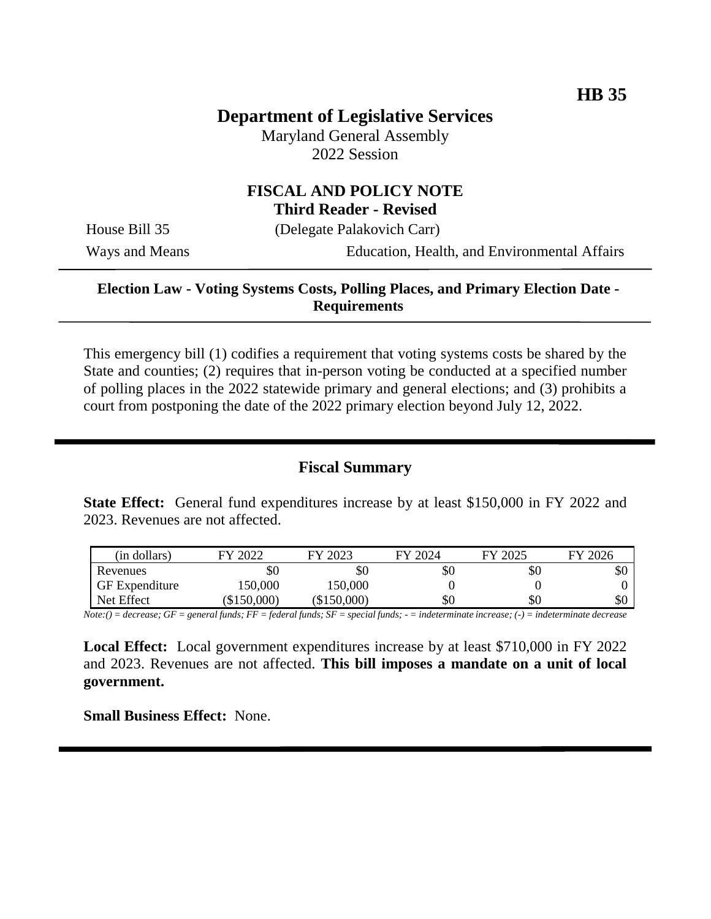# **Department of Legislative Services**

Maryland General Assembly 2022 Session

# **FISCAL AND POLICY NOTE**

**Third Reader - Revised**

House Bill 35 (Delegate Palakovich Carr)

Ways and Means Education, Health, and Environmental Affairs

## **Election Law - Voting Systems Costs, Polling Places, and Primary Election Date - Requirements**

This emergency bill (1) codifies a requirement that voting systems costs be shared by the State and counties; (2) requires that in-person voting be conducted at a specified number of polling places in the 2022 statewide primary and general elections; and (3) prohibits a court from postponing the date of the 2022 primary election beyond July 12, 2022.

# **Fiscal Summary**

**State Effect:** General fund expenditures increase by at least \$150,000 in FY 2022 and 2023. Revenues are not affected.

| (in dollars)          | FY 2022       | FY 2023       | FY 2024 | FY 2025 | FY 2026 |
|-----------------------|---------------|---------------|---------|---------|---------|
| Revenues              | УU            | \$0           | \$0     | \$0     | JО      |
| <b>GF</b> Expenditure | 150,000       | 150,000       |         |         |         |
| Net Effect            | $(\$150,000)$ | $(\$150,000)$ | \$0     | \$0     | \$0     |

*Note:() = decrease; GF = general funds; FF = federal funds; SF = special funds; - = indeterminate increase; (-) = indeterminate decrease*

**Local Effect:** Local government expenditures increase by at least \$710,000 in FY 2022 and 2023. Revenues are not affected. **This bill imposes a mandate on a unit of local government.**

**Small Business Effect:** None.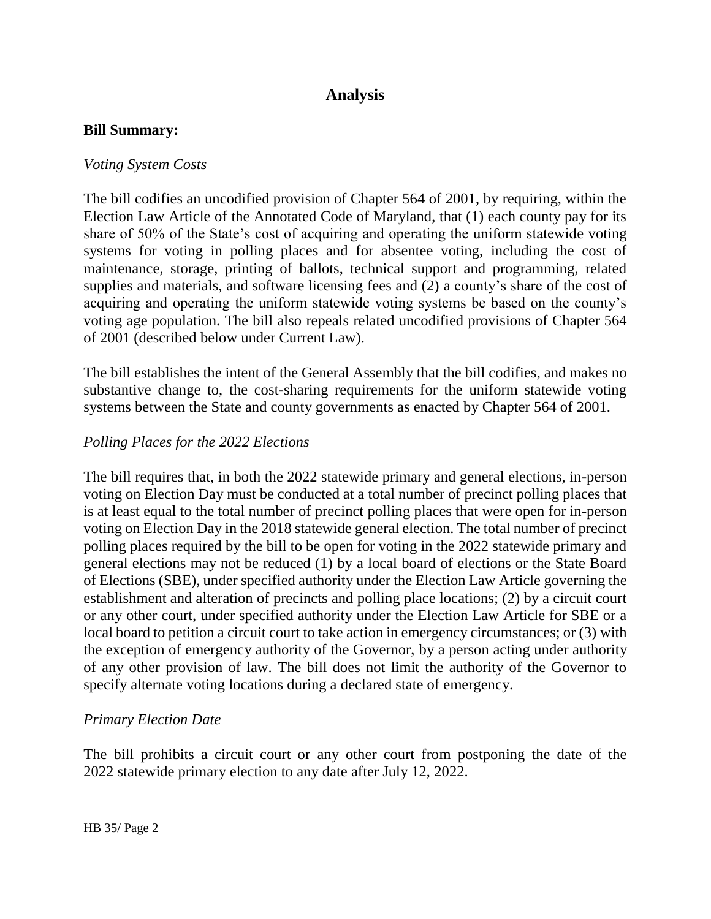# **Analysis**

#### **Bill Summary:**

#### *Voting System Costs*

The bill codifies an uncodified provision of Chapter 564 of 2001, by requiring, within the Election Law Article of the Annotated Code of Maryland, that (1) each county pay for its share of 50% of the State's cost of acquiring and operating the uniform statewide voting systems for voting in polling places and for absentee voting, including the cost of maintenance, storage, printing of ballots, technical support and programming, related supplies and materials, and software licensing fees and (2) a county's share of the cost of acquiring and operating the uniform statewide voting systems be based on the county's voting age population. The bill also repeals related uncodified provisions of Chapter 564 of 2001 (described below under Current Law).

The bill establishes the intent of the General Assembly that the bill codifies, and makes no substantive change to, the cost-sharing requirements for the uniform statewide voting systems between the State and county governments as enacted by Chapter 564 of 2001.

### *Polling Places for the 2022 Elections*

The bill requires that, in both the 2022 statewide primary and general elections, in-person voting on Election Day must be conducted at a total number of precinct polling places that is at least equal to the total number of precinct polling places that were open for in-person voting on Election Day in the 2018 statewide general election. The total number of precinct polling places required by the bill to be open for voting in the 2022 statewide primary and general elections may not be reduced (1) by a local board of elections or the State Board of Elections (SBE), under specified authority under the Election Law Article governing the establishment and alteration of precincts and polling place locations; (2) by a circuit court or any other court, under specified authority under the Election Law Article for SBE or a local board to petition a circuit court to take action in emergency circumstances; or (3) with the exception of emergency authority of the Governor, by a person acting under authority of any other provision of law. The bill does not limit the authority of the Governor to specify alternate voting locations during a declared state of emergency.

#### *Primary Election Date*

The bill prohibits a circuit court or any other court from postponing the date of the 2022 statewide primary election to any date after July 12, 2022.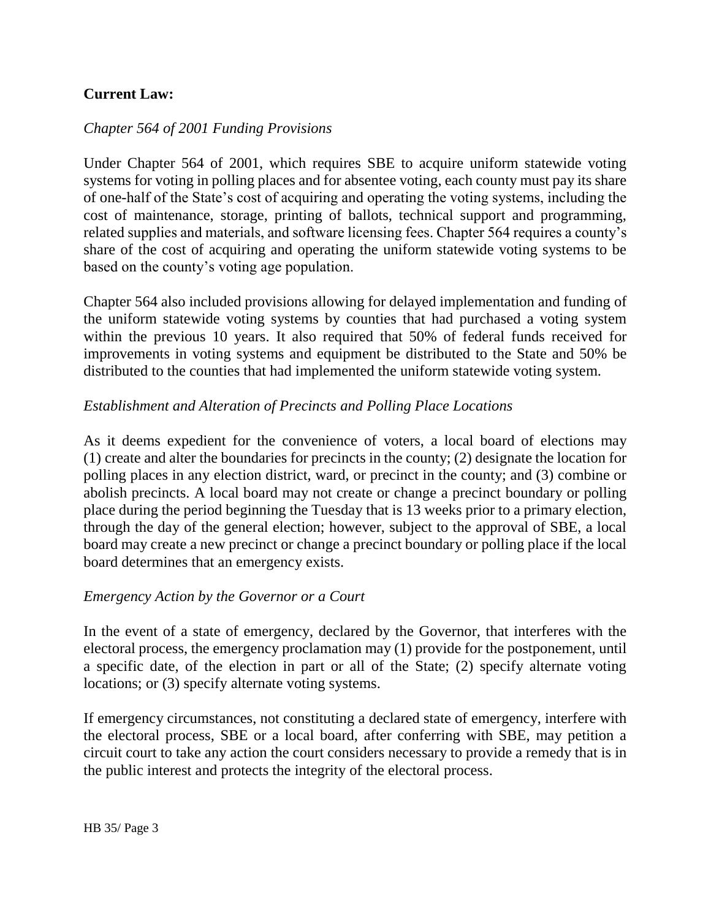# **Current Law:**

## *Chapter 564 of 2001 Funding Provisions*

Under Chapter 564 of 2001, which requires SBE to acquire uniform statewide voting systems for voting in polling places and for absentee voting, each county must pay its share of one-half of the State's cost of acquiring and operating the voting systems, including the cost of maintenance, storage, printing of ballots, technical support and programming, related supplies and materials, and software licensing fees. Chapter 564 requires a county's share of the cost of acquiring and operating the uniform statewide voting systems to be based on the county's voting age population.

Chapter 564 also included provisions allowing for delayed implementation and funding of the uniform statewide voting systems by counties that had purchased a voting system within the previous 10 years. It also required that 50% of federal funds received for improvements in voting systems and equipment be distributed to the State and 50% be distributed to the counties that had implemented the uniform statewide voting system.

### *Establishment and Alteration of Precincts and Polling Place Locations*

As it deems expedient for the convenience of voters, a local board of elections may (1) create and alter the boundaries for precincts in the county; (2) designate the location for polling places in any election district, ward, or precinct in the county; and (3) combine or abolish precincts. A local board may not create or change a precinct boundary or polling place during the period beginning the Tuesday that is 13 weeks prior to a primary election, through the day of the general election; however, subject to the approval of SBE, a local board may create a new precinct or change a precinct boundary or polling place if the local board determines that an emergency exists.

#### *Emergency Action by the Governor or a Court*

In the event of a state of emergency, declared by the Governor, that interferes with the electoral process, the emergency proclamation may (1) provide for the postponement, until a specific date, of the election in part or all of the State; (2) specify alternate voting locations; or (3) specify alternate voting systems.

If emergency circumstances, not constituting a declared state of emergency, interfere with the electoral process, SBE or a local board, after conferring with SBE, may petition a circuit court to take any action the court considers necessary to provide a remedy that is in the public interest and protects the integrity of the electoral process.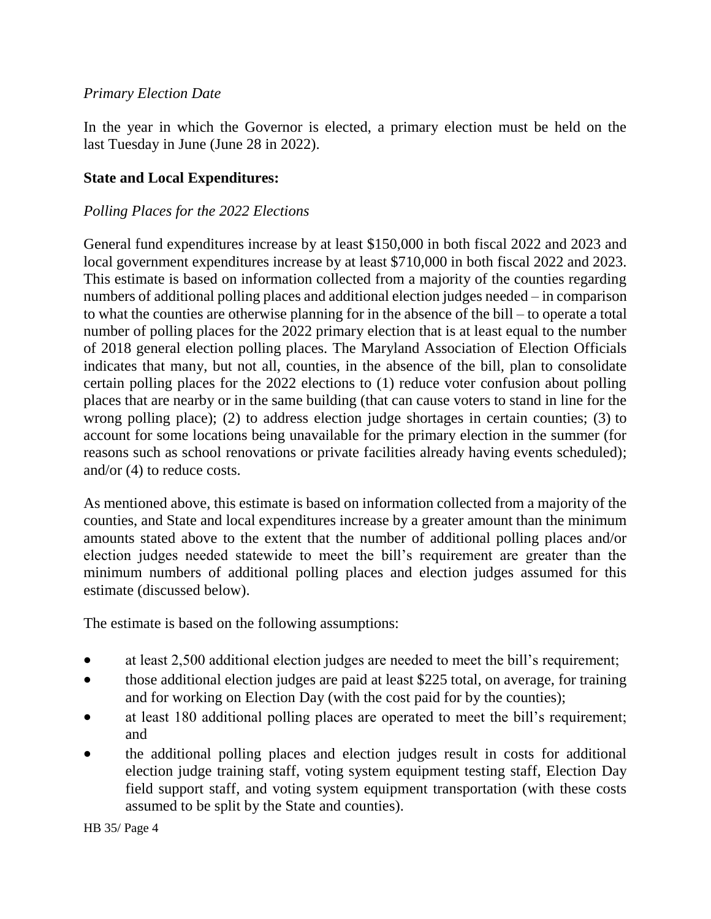## *Primary Election Date*

In the year in which the Governor is elected, a primary election must be held on the last Tuesday in June (June 28 in 2022).

## **State and Local Expenditures:**

#### *Polling Places for the 2022 Elections*

General fund expenditures increase by at least \$150,000 in both fiscal 2022 and 2023 and local government expenditures increase by at least \$710,000 in both fiscal 2022 and 2023. This estimate is based on information collected from a majority of the counties regarding numbers of additional polling places and additional election judges needed – in comparison to what the counties are otherwise planning for in the absence of the bill – to operate a total number of polling places for the 2022 primary election that is at least equal to the number of 2018 general election polling places. The Maryland Association of Election Officials indicates that many, but not all, counties, in the absence of the bill, plan to consolidate certain polling places for the 2022 elections to (1) reduce voter confusion about polling places that are nearby or in the same building (that can cause voters to stand in line for the wrong polling place); (2) to address election judge shortages in certain counties; (3) to account for some locations being unavailable for the primary election in the summer (for reasons such as school renovations or private facilities already having events scheduled); and/or (4) to reduce costs.

As mentioned above, this estimate is based on information collected from a majority of the counties, and State and local expenditures increase by a greater amount than the minimum amounts stated above to the extent that the number of additional polling places and/or election judges needed statewide to meet the bill's requirement are greater than the minimum numbers of additional polling places and election judges assumed for this estimate (discussed below).

The estimate is based on the following assumptions:

- at least 2,500 additional election judges are needed to meet the bill's requirement;
- those additional election judges are paid at least \$225 total, on average, for training and for working on Election Day (with the cost paid for by the counties);
- at least 180 additional polling places are operated to meet the bill's requirement; and
- the additional polling places and election judges result in costs for additional election judge training staff, voting system equipment testing staff, Election Day field support staff, and voting system equipment transportation (with these costs assumed to be split by the State and counties).